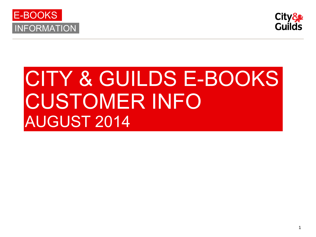



# CITY & GUILDS E-BOOKS CUSTOMER INFO AUGUST 2014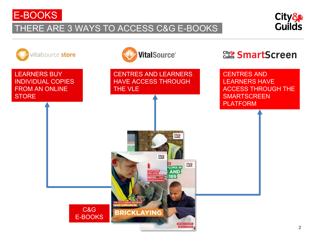

### THERE ARE 3 WAYS TO ACCESS C&G E-BOOKS



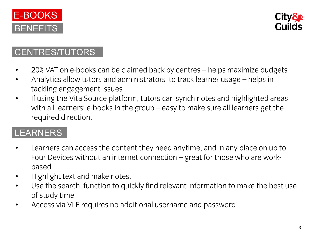



#### CENTRES/TUTORS

- 20% VAT on e-books can be claimed back by centres helps maximize budgets
- Analytics allow tutors and administrators to track learner usage helps in tackling engagement issues
- If using the VitalSource platform, tutors can synch notes and highlighted areas<br>with all learners' e-books in the group easy to make sure all learners get the with all learners' e-books in the group – easy to make sure all learners get the real likely required direction.

## LEARNERS

- Learners can access the content they need anytime, and in any place on up to Four Devices without an internet connection – great for those who are work-<br>based
- Highlight text and make notes.<br>• Hise the search function to quide
- Use the search function to quickly find relevant information to make the best use of study time
- Access via VLE requires no additional username and password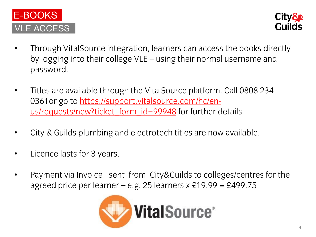



- Through VitalSource integration, learners can access the books directly by logging into their college VLE – using their normal username and password.
- Titles are ava[ilable through the VitalSource](https://support.vitalsource.com/hc/en-us/requests/new?ticket_form_id=99948) platfor[m.](https://support.vitalsource.com/hc/en-us/requests/new?ticket_form_id=99948) Call 0808 234<br>- 0361or go to <u>https://support.vitalsource.com/hc/en-</u> [0361or go to https://support.vitalsource](https://support.vitalsource.com/hc/en-us/requests/new?ticket_form_id=99948).com/hc/enusike t<sub>i</sub>eke formalisme in ticket formalisme details.
- City & Guilds plumbing and electrotech titles are now available.
- Licence lasts for 3 years.
- Payment via Invoice sent from City&Guilds to colleges/centres for the agreed price per learner - e.g. 25 learners x  $£19.99 = £499.75$

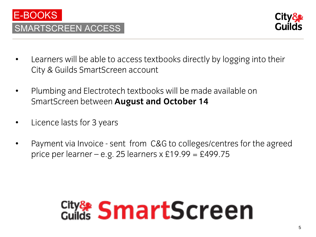



- Learners will be able to access textbooks directly by logging into their City & Guilds SmartScreen account
- Plumbing and Electrotech textbooks will be made available on SmartScreen between **August and October 14**
- Licence lasts for 3 years
- Payment via Invoice sent from C&G to colleges/centres for the agreed price per learner – e.g. 25 learners  $x \, \text{E}$ 19.99 = £499.75

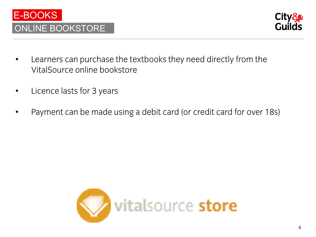



- Learners can purchase the textbooks they need directly from the VitalSource online bookstore VitalSource online bookstore
- Licence lasts for 3 years
- Payment can be made using a debit card (or credit card for over 18s)

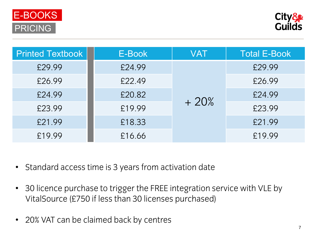



| <b>Printed Textbook</b> | E-Book | VAT    | <b>Total E-Book</b> |
|-------------------------|--------|--------|---------------------|
| £29.99                  | £24.99 | $+20%$ | £29.99              |
| £26.99                  | £22.49 |        | £26.99              |
| £24.99                  | £20.82 |        | £24.99              |
| £23.99                  | £19.99 |        | £23.99              |
| £21.99                  | £18.33 |        | £21.99              |
| £19.99                  | £16.66 |        | £19.99              |
|                         |        |        |                     |

- Standard access time is 3 years from activation date
- 30 licence purchase to trigger the FREE integration service with VLE by VitalSource (£750 if less than 30 licenses purchased)
- 20% VAT can be claimed back by centres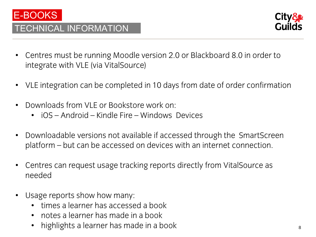

#### TECHNICAL INFORMATION



- Centres must be running Moodle version 2.0 or Blackboard 8.0 in order to integrate with VLE (via VitalSource)
- VLE integration can be completed in 10 days from date of order confirmation
- Downloads from VLE or Bookstore work on:
	- iOS Android Kindle Fire Windows Devices
- Downloadable versions not available if accessed through the SmartScreen platform – but can be accessed on devices with an internet connection.
- Centres can request usage tracking reports directly from VitalSource as needed
- Usage reports show how many:
	- times a learner has accessed a book
	- notes a learner has made in a book
	- highlights a learner has made in a book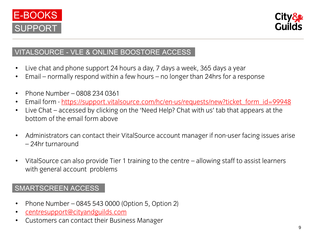



#### VITALSOURCE - VLE & ONLINE BOOSTORE ACCESS

- Live chat and phone support 24 hours a day, 7 days a week, 365 days a year
- Email normally respond within a few hours no longer than 24hrs for a response
- Phone Num[ber](https://support.vitalsource.com/hc/en-us/requests/new?ticket_form_id=99948)  0[808 234 0361](https://support.vitalsource.com/hc/en-us/requests/new?ticket_form_id=99948)<br>• Email form https://support.vital
- Email form <u>https://support.vitalsource.com/hc/en[-us/requests/new?ticket\\_form\\_id=99948](https://support.vitalsource.com/hc/en-us/requests/new?ticket_form_id=99948)</u><br>• Live Chat accessed by clicking on the 'Need Heln? Chat with us' tab that annears at the
- Live Chat accessed by clicking on the 'Need Help? Chat with us' tab that appears at the bottom of the email form above bottom of the email form above
- Administrators can contact their VitalSource account manager if non-user facing issues arise<br>- 24hr turnaround – 24hr turnaround
- VitalSource can also provide Tier 1 training to the centre allowing staff to assist learners with general account problems in

#### SMARTSCREEN ACCESS

- Phone Number [0845 543 0000 \(O](mailto:centresupport@cityandguilds.com)ption 5, Option 2)
- centresupport@cityandguilds.com
- Customers can contact their Business Manager